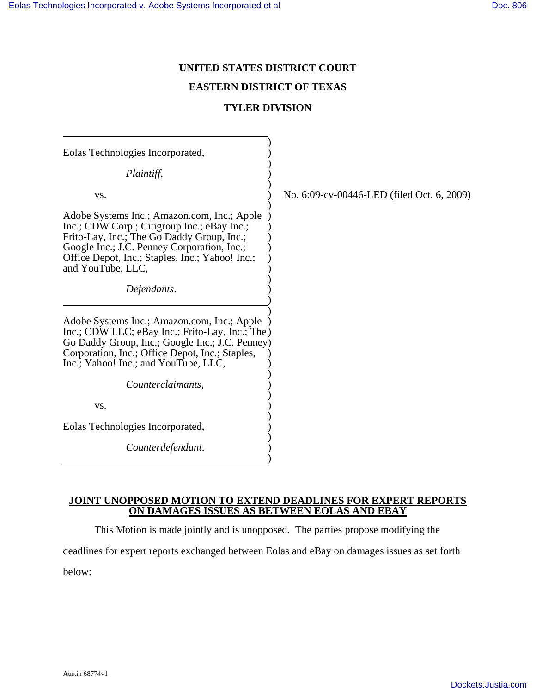# **UNITED STATES DISTRICT COURT**

# **EASTERN DISTRICT OF TEXAS**

### **TYLER DIVISION**

| Eolas Technologies Incorporated,                                                                                                                                                                                                                                |                                            |
|-----------------------------------------------------------------------------------------------------------------------------------------------------------------------------------------------------------------------------------------------------------------|--------------------------------------------|
| Plaintiff,                                                                                                                                                                                                                                                      |                                            |
| VS.                                                                                                                                                                                                                                                             | No. 6:09-cv-00446-LED (filed Oct. 6, 2009) |
| Adobe Systems Inc.; Amazon.com, Inc.; Apple<br>Inc.; CDW Corp.; Citigroup Inc.; eBay Inc.;<br>Frito-Lay, Inc.; The Go Daddy Group, Inc.;<br>Google Inc.; J.C. Penney Corporation, Inc.;<br>Office Depot, Inc.; Staples, Inc.; Yahoo! Inc.;<br>and YouTube, LLC, |                                            |
| Defendants.                                                                                                                                                                                                                                                     |                                            |
| Adobe Systems Inc.; Amazon.com, Inc.; Apple<br>Inc.; CDW LLC; eBay Inc.; Frito-Lay, Inc.; The)<br>Go Daddy Group, Inc.; Google Inc.; J.C. Penney)<br>Corporation, Inc.; Office Depot, Inc.; Staples,<br>Inc.; Yahoo! Inc.; and YouTube, LLC,                    |                                            |
| Counterclaimants,                                                                                                                                                                                                                                               |                                            |
| VS.                                                                                                                                                                                                                                                             |                                            |
| Eolas Technologies Incorporated,                                                                                                                                                                                                                                |                                            |
| Counterdefendant.                                                                                                                                                                                                                                               |                                            |
|                                                                                                                                                                                                                                                                 |                                            |

**JOINT UNOPPOSED MOTION TO EXTEND DEADLINES FOR EXPERT REPORTS ON DAMAGES ISSUES AS BETWEEN EOLAS AND EBAY**

This Motion is made jointly and is unopposed. The parties propose modifying the

deadlines for expert reports exchanged between Eolas and eBay on damages issues as set forth

below: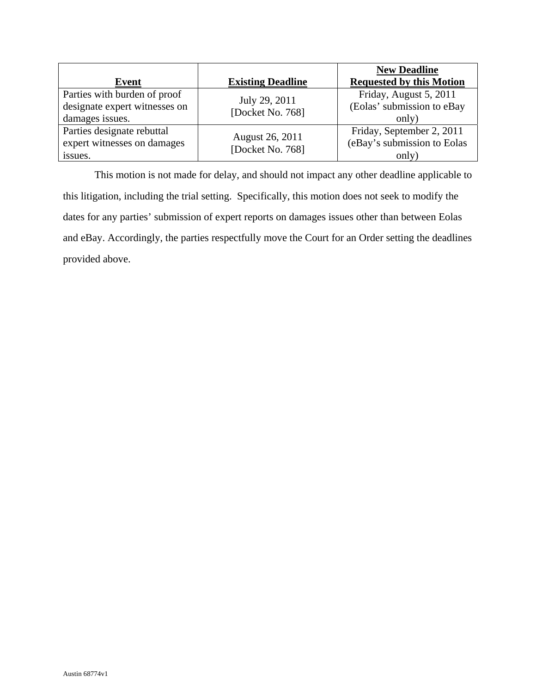| Event                                                                            | <b>Existing Deadline</b>            | <b>New Deadline</b><br><b>Requested by this Motion</b>            |
|----------------------------------------------------------------------------------|-------------------------------------|-------------------------------------------------------------------|
| Parties with burden of proof<br>designate expert witnesses on<br>damages issues. | July 29, 2011<br>[Docket No. 768]   | Friday, August 5, 2011<br>(Eolas' submission to eBay<br>only)     |
| Parties designate rebuttal<br>expert witnesses on damages<br>issues.             | August 26, 2011<br>[Docket No. 768] | Friday, September 2, 2011<br>(eBay's submission to Eolas<br>only) |

This motion is not made for delay, and should not impact any other deadline applicable to this litigation, including the trial setting. Specifically, this motion does not seek to modify the dates for any parties' submission of expert reports on damages issues other than between Eolas and eBay. Accordingly, the parties respectfully move the Court for an Order setting the deadlines provided above.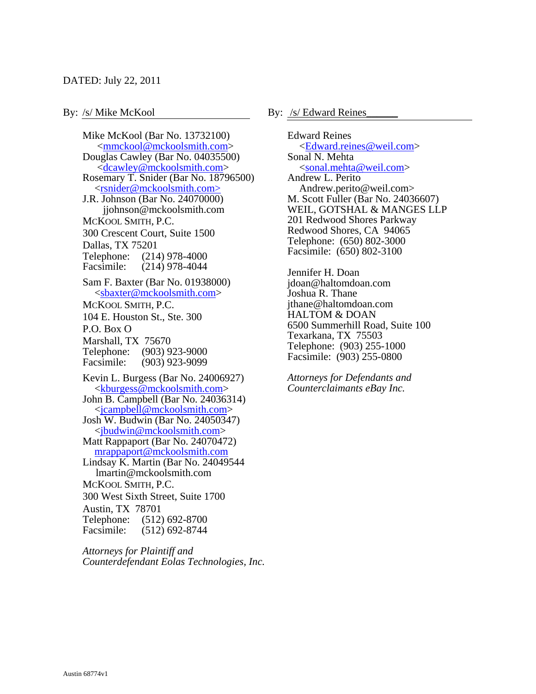### By: /s/ Mike McKool By: <u>/s/ Edward Reines</u>

Mike McKool (Bar No. 13732100) <mmckool@mckoolsmith.com> Douglas Cawley (Bar No. 04035500) <dcawley@mckoolsmith.com> Rosemary T. Snider (Bar No. 18796500) <rsnider@mckoolsmith.com> J.R. Johnson (Bar No. 24070000) jjohnson@mckoolsmith.com MCKOOL SMITH, P.C. 300 Crescent Court, Suite 1500 Dallas, TX 75201 Telephone: (214) 978-4000 Facsimile: (214) 978-4044 Sam F. Baxter (Bar No. 01938000) <sbaxter@mckoolsmith.com> MCKOOL SMITH, P.C. 104 E. Houston St., Ste. 300 P.O. Box O Marshall, TX 75670 Telephone: (903) 923-9000 Facsimile: (903) 923-9099 Kevin L. Burgess (Bar No. 24006927) <kburgess@mckoolsmith.com> John B. Campbell (Bar No. 24036314) <jcampbell@mckoolsmith.com> Josh W. Budwin (Bar No. 24050347) <jbudwin@mckoolsmith.com> Matt Rappaport (Bar No. 24070472) mrappaport@mckoolsmith.com Lindsay K. Martin (Bar No. 24049544 lmartin@mckoolsmith.com MCKOOL SMITH, P.C. 300 West Sixth Street, Suite 1700 Austin, TX 78701 Telephone: (512) 692-8700 Facsimile: (512) 692-8744

*Attorneys for Plaintiff and Counterdefendant Eolas Technologies, Inc.*

Edward Reines <Edward.reines@weil.com> Sonal N. Mehta <sonal.mehta@weil.com> Andrew L. Perito Andrew.perito@weil.com> M. Scott Fuller (Bar No. 24036607) WEIL, GOTSHAL & MANGES LLP 201 Redwood Shores Parkway Redwood Shores, CA 94065 Telephone: (650) 802-3000 Facsimile: (650) 802-3100

Jennifer H. Doan jdoan@haltomdoan.com Joshua R. Thane jthane@haltomdoan.com HALTOM & DOAN 6500 Summerhill Road, Suite 100 Texarkana, TX 75503 Telephone: (903) 255-1000 Facsimile: (903) 255-0800

*Attorneys for Defendants and Counterclaimants eBay Inc.*